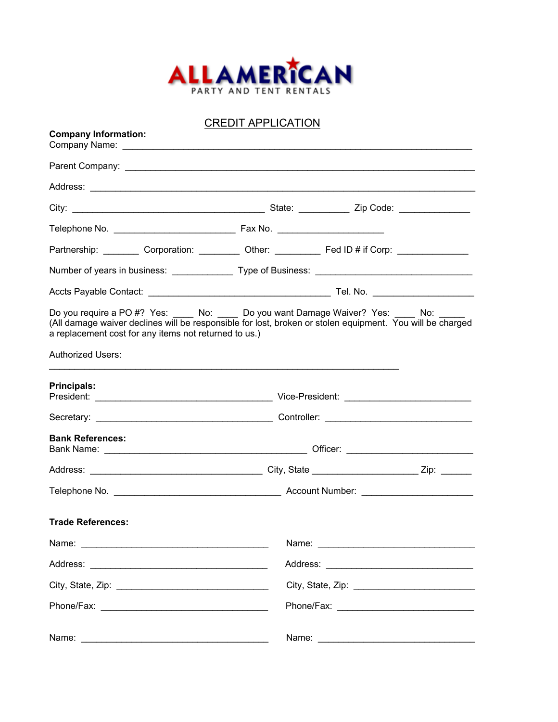

CREDIT APPLICATION

| <b>Company Information:</b>                                                                                                                                                                                                                                       |       |  |  |  |
|-------------------------------------------------------------------------------------------------------------------------------------------------------------------------------------------------------------------------------------------------------------------|-------|--|--|--|
|                                                                                                                                                                                                                                                                   |       |  |  |  |
|                                                                                                                                                                                                                                                                   |       |  |  |  |
|                                                                                                                                                                                                                                                                   |       |  |  |  |
|                                                                                                                                                                                                                                                                   |       |  |  |  |
| Partnership: __________ Corporation: __________ Other: ___________ Fed ID # if Corp: ______________                                                                                                                                                               |       |  |  |  |
|                                                                                                                                                                                                                                                                   |       |  |  |  |
|                                                                                                                                                                                                                                                                   |       |  |  |  |
| Do you require a PO #? Yes: _____ No: _____ Do you want Damage Waiver? Yes: _____ No: _____<br>(All damage waiver declines will be responsible for lost, broken or stolen equipment. You will be charged<br>a replacement cost for any items not returned to us.) |       |  |  |  |
| <b>Authorized Users:</b>                                                                                                                                                                                                                                          |       |  |  |  |
| <b>Principals:</b>                                                                                                                                                                                                                                                |       |  |  |  |
|                                                                                                                                                                                                                                                                   |       |  |  |  |
| <b>Bank References:</b>                                                                                                                                                                                                                                           |       |  |  |  |
|                                                                                                                                                                                                                                                                   |       |  |  |  |
|                                                                                                                                                                                                                                                                   |       |  |  |  |
| <b>Trade References:</b>                                                                                                                                                                                                                                          |       |  |  |  |
|                                                                                                                                                                                                                                                                   |       |  |  |  |
|                                                                                                                                                                                                                                                                   |       |  |  |  |
|                                                                                                                                                                                                                                                                   |       |  |  |  |
|                                                                                                                                                                                                                                                                   |       |  |  |  |
| Name:                                                                                                                                                                                                                                                             | Name: |  |  |  |